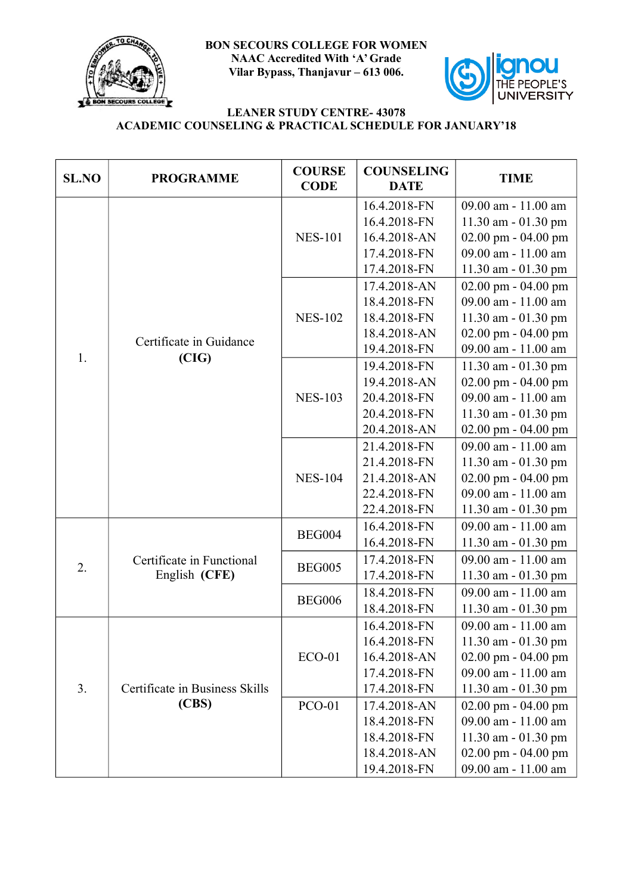

**BON SECOURS COLLEGE FOR WOMEN NAAC Accredited With 'A' Grade Vilar Bypass, Thanjavur – 613 006.**



## **LEANER STUDY CENTRE- 43078 ACADEMIC COUNSELING & PRACTICAL SCHEDULE FOR JANUARY'18**

| <b>SL.NO</b>   | <b>PROGRAMME</b>                        | <b>COURSE</b><br><b>CODE</b> | <b>COUNSELING</b><br><b>DATE</b> | <b>TIME</b>             |
|----------------|-----------------------------------------|------------------------------|----------------------------------|-------------------------|
|                | Certificate in Guidance<br>(CIG)        | <b>NES-101</b>               | 16.4.2018-FN                     | 09.00 am - 11.00 am     |
|                |                                         |                              | 16.4.2018-FN                     | 11.30 am $-$ 01.30 pm   |
|                |                                         |                              | 16.4.2018-AN                     | 02.00 pm - 04.00 pm     |
|                |                                         |                              | 17.4.2018-FN                     | 09.00 am - 11.00 am     |
|                |                                         |                              | 17.4.2018-FN                     | 11.30 am - 01.30 pm     |
|                |                                         | <b>NES-102</b>               | 17.4.2018-AN                     | 02.00 pm - 04.00 pm     |
|                |                                         |                              | 18.4.2018-FN                     | 09.00 am - 11.00 am     |
|                |                                         |                              | 18.4.2018-FN                     | 11.30 am $-$ 01.30 pm   |
|                |                                         |                              | 18.4.2018-AN                     | $02.00$ pm - $04.00$ pm |
| 1.             |                                         |                              | 19.4.2018-FN                     | 09.00 am - 11.00 am     |
|                |                                         | <b>NES-103</b>               | 19.4.2018-FN                     | 11.30 am - 01.30 pm     |
|                |                                         |                              | 19.4.2018-AN                     | 02.00 pm - 04.00 pm     |
|                |                                         |                              | 20.4.2018-FN                     | 09.00 am - 11.00 am     |
|                |                                         |                              | 20.4.2018-FN                     | 11.30 am - 01.30 pm     |
|                |                                         |                              | 20.4.2018-AN                     | $02.00$ pm - $04.00$ pm |
|                |                                         |                              | 21.4.2018-FN                     | 09.00 am - 11.00 am     |
|                |                                         | <b>NES-104</b>               | 21.4.2018-FN                     | 11.30 am - 01.30 pm     |
|                |                                         |                              | 21.4.2018-AN                     | 02.00 pm - 04.00 pm     |
|                |                                         |                              | 22.4.2018-FN                     | 09.00 am - 11.00 am     |
|                |                                         |                              | 22.4.2018-FN                     | 11.30 am - 01.30 pm     |
|                |                                         | <b>BEG004</b>                | 16.4.2018-FN                     | 09.00 am - 11.00 am     |
|                |                                         |                              | 16.4.2018-FN                     | 11.30 am - 01.30 pm     |
| 2.             | Certificate in Functional               | <b>BEG005</b>                | 17.4.2018-FN                     | 09.00 am - 11.00 am     |
|                | English (CFE)                           |                              | 17.4.2018-FN                     | 11.30 am - 01.30 pm     |
|                |                                         | <b>BEG006</b>                | 18.4.2018-FN                     | 09.00 am - 11.00 am     |
|                |                                         |                              | 18.4.2018-FN                     | 11.30 am - 01.30 pm     |
| 3 <sub>1</sub> | Certificate in Business Skills<br>(CBS) |                              | 16.4.2018-FN                     | 09.00 am - 11.00 am     |
|                |                                         | $ECO-01$                     | 16.4.2018-FN                     | 11.30 am - 01.30 pm     |
|                |                                         |                              | 16.4.2018-AN                     | $02.00$ pm - $04.00$ pm |
|                |                                         |                              | 17.4.2018-FN                     | 09.00 am - 11.00 am     |
|                |                                         |                              | 17.4.2018-FN                     | 11.30 am - 01.30 pm     |
|                |                                         | <b>PCO-01</b>                | 17.4.2018-AN                     | $02.00$ pm - $04.00$ pm |
|                |                                         |                              | 18.4.2018-FN                     | 09.00 am - 11.00 am     |
|                |                                         |                              | 18.4.2018-FN                     | 11.30 am - 01.30 pm     |
|                |                                         |                              | 18.4.2018-AN                     | $02.00$ pm - $04.00$ pm |
|                |                                         |                              | 19.4.2018-FN                     | 09.00 am - 11.00 am     |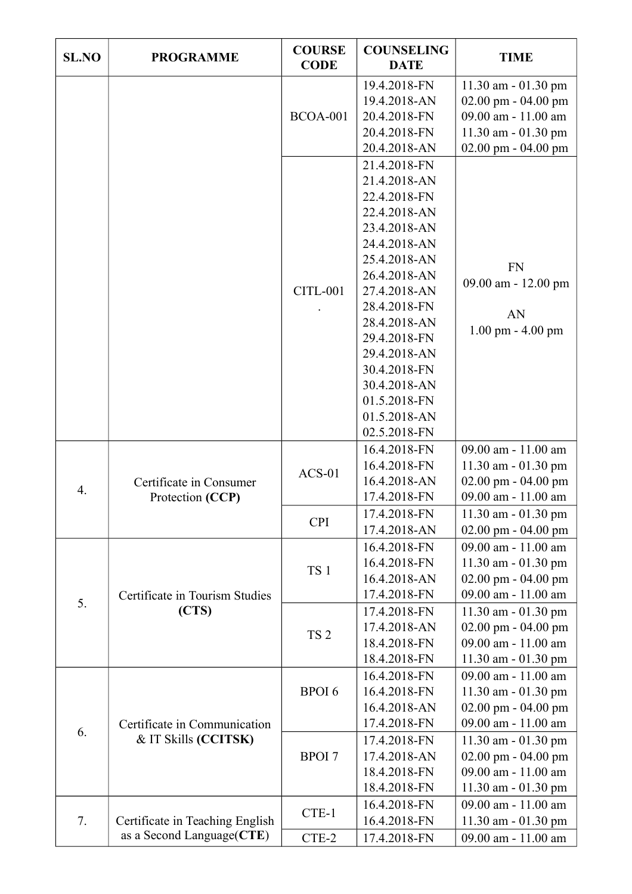| <b>SL.NO</b> | <b>PROGRAMME</b>                                              | <b>COURSE</b><br><b>CODE</b>  | <b>COUNSELING</b><br><b>DATE</b>             | <b>TIME</b>                                                       |
|--------------|---------------------------------------------------------------|-------------------------------|----------------------------------------------|-------------------------------------------------------------------|
|              |                                                               | <b>BCOA-001</b>               | 19.4.2018-FN<br>19.4.2018-AN<br>20.4.2018-FN | 11.30 am - 01.30 pm<br>02.00 pm - 04.00 pm<br>09.00 am - 11.00 am |
|              |                                                               |                               | 20.4.2018-FN<br>20.4.2018-AN                 | 11.30 am - 01.30 pm<br>02.00 pm - 04.00 pm                        |
|              |                                                               | <b>CITL-001</b>               | 21.4.2018-FN<br>21.4.2018-AN                 | <b>FN</b><br>09.00 am - 12.00 pm<br>AN<br>1.00 pm - 4.00 pm       |
|              |                                                               |                               | 22.4.2018-FN<br>22.4.2018-AN                 |                                                                   |
|              |                                                               |                               | 23.4.2018-AN                                 |                                                                   |
|              |                                                               |                               | 24.4.2018-AN<br>25.4.2018-AN                 |                                                                   |
|              |                                                               |                               | 26.4.2018-AN                                 |                                                                   |
|              |                                                               |                               | 27.4.2018-AN<br>28.4.2018-FN                 |                                                                   |
|              |                                                               |                               | 28.4.2018-AN                                 |                                                                   |
|              |                                                               |                               | 29.4.2018-FN<br>29.4.2018-AN                 |                                                                   |
|              |                                                               |                               | 30.4.2018-FN                                 |                                                                   |
|              |                                                               |                               | 30.4.2018-AN<br>01.5.2018-FN                 |                                                                   |
|              |                                                               |                               | 01.5.2018-AN                                 |                                                                   |
|              |                                                               | $ACS-01$                      | 02.5.2018-FN<br>16.4.2018-FN                 | 09.00 am - 11.00 am                                               |
|              |                                                               |                               | 16.4.2018-FN                                 | 11.30 am - 01.30 pm                                               |
| 4.           | Certificate in Consumer<br>Protection (CCP)                   |                               | 16.4.2018-AN<br>17.4.2018-FN                 | 02.00 pm - 04.00 pm<br>09.00 am - 11.00 am                        |
|              |                                                               | <b>CPI</b>                    | 17.4.2018-FN                                 | $11.30$ am $- 01.30$ pm                                           |
|              |                                                               |                               | 17.4.2018-AN<br>16.4.2018-FN                 | $02.00$ pm - $04.00$ pm<br>09.00 am - 11.00 am                    |
|              | Certificate in Tourism Studies<br>(CTS)                       | TS <sub>1</sub>               | 16.4.2018-FN                                 | 11.30 am $-$ 01.30 pm                                             |
|              |                                                               |                               | 16.4.2018-AN<br>17.4.2018-FN                 | 02.00 pm - 04.00 pm<br>09.00 am - 11.00 am                        |
| 5.           |                                                               | TS <sub>2</sub>               | 17.4.2018-FN                                 | 11.30 am - 01.30 pm                                               |
|              |                                                               |                               | 17.4.2018-AN                                 | 02.00 pm - 04.00 pm                                               |
|              |                                                               |                               | 18.4.2018-FN<br>18.4.2018-FN                 | 09.00 am - 11.00 am<br>11.30 am - 01.30 pm                        |
| 6.           | Certificate in Communication<br>& IT Skills (CCITSK)          | <b>BPOI6</b><br><b>BPOI</b> 7 | 16.4.2018-FN                                 | 09.00 am - 11.00 am                                               |
|              |                                                               |                               | 16.4.2018-FN<br>16.4.2018-AN                 | 11.30 am $-$ 01.30 pm<br>02.00 pm - 04.00 pm                      |
|              |                                                               |                               | 17.4.2018-FN                                 | 09.00 am - 11.00 am                                               |
|              |                                                               |                               | 17.4.2018-FN<br>17.4.2018-AN                 | 11.30 am - 01.30 pm<br>$02.00$ pm - $04.00$ pm                    |
|              |                                                               |                               | 18.4.2018-FN                                 | 09.00 am - 11.00 am                                               |
|              |                                                               |                               | 18.4.2018-FN                                 | $11.30$ am $- 01.30$ pm                                           |
| 7.           | Certificate in Teaching English<br>as a Second Language (CTE) | CTE-1                         | 16.4.2018-FN<br>16.4.2018-FN                 | 09.00 am - 11.00 am<br>11.30 am - 01.30 pm                        |
|              |                                                               | CTE-2                         | 17.4.2018-FN                                 | 09.00 am - 11.00 am                                               |